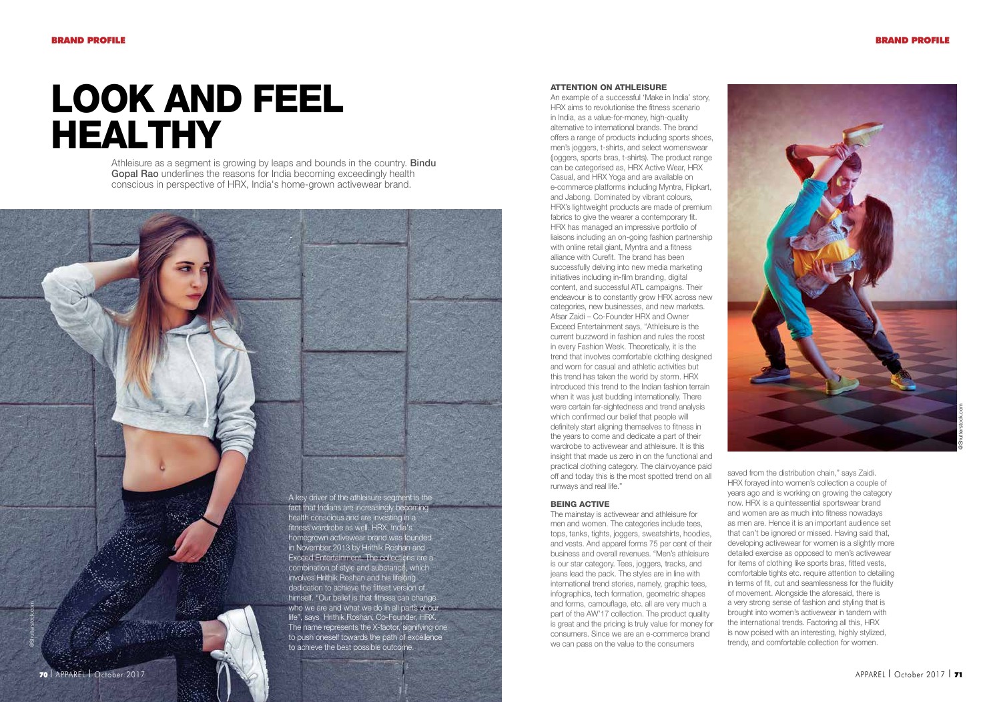# Look and Feel Healthy

Athleisure as a segment is growing by leaps and bounds in the country. Bindu Gopal Rao underlines the reasons for India becoming exceedingly health conscious in perspective of HRX, India's home-grown activewear brand.

> A key driver of the athleisure segment is the fact that Indians are increasingly becoming health conscious and are investing in a fitness wardrobe as well. HRX, India's homegrown activewear brand was founded in November 2013 by Hrithik Roshan and Exceed Entertainment. The collections are a combination of style and substance, which involves Hrithik Roshan and his lifelong dedication to achieve the fittest version of himself. "Our belief is that fitness can change who we are and what we do in all parts of our life", says Hrithik Roshan, Co-Founder, HRX. The name represents the X-factor, signifying one to push oneself towards the path of excellence to achieve the best possible outcome.

#### Attention on Athleisure

An example of a successful 'Make in India' story, HRX aims to revolutionise the fitness scenario in India, as a value-for-money, high-quality alternative to international brands. The brand offers a range of products including sports shoes, men's joggers, t-shirts, and select womenswear (joggers, sports bras, t-shirts). The product range can be categorised as, HRX Active Wear, HRX Casual, and HRX Yoga and are available on e-commerce platforms including Myntra, Flipkart, and Jabong. Dominated by vibrant colours, HRX's lightweight products are made of premium fabrics to give the wearer a contemporary fit. HRX has managed an impressive portfolio of liaisons including an on-going fashion partnership with online retail giant, Myntra and a fitness alliance with Curefit. The brand has been successfully delving into new media marketing initiatives including in-film branding, digital content, and successful ATL campaigns. Their endeavour is to constantly grow HRX across new categories, new businesses, and new markets. Afsar Zaidi – Co-Founder HRX and Owner Exceed Entertainment says, "Athleisure is the current buzzword in fashion and rules the roost in every Fashion Week. Theoretically, it is the trend that involves comfortable clothing designed and worn for casual and athletic activities but this trend has taken the world by storm. HRX introduced this trend to the Indian fashion terrain when it was just budding internationally. There were certain far-sightedness and trend analysis which confirmed our belief that people will definitely start aligning themselves to fitness in the years to come and dedicate a part of their wardrobe to activewear and athleisure. It is this insight that made us zero in on the functional and practical clothing category. The clairvoyance paid off and today this is the most spotted trend on all runways and real life."

## Being Active

The mainstay is activewear and athleisure for men and women. The categories include tees, tops, tanks, tights, joggers, sweatshirts, hoodies, and vests. And apparel forms 75 per cent of their business and overall revenues. "Men's athleisure is our star category. Tees, joggers, tracks, and jeans lead the pack. The styles are in line with international trend stories, namely, graphic tees, infographics, tech formation, geometric shapes and forms, camouflage, etc. all are very much a part of the AW'17 collection. The product quality is great and the pricing is truly value for money for consumers. Since we are an e-commerce brand we can pass on the value to the consumers



saved from the distribution chain," says Zaidi. HRX forayed into women's collection a couple of years ago and is working on growing the category now. HRX is a quintessential sportswear brand and women are as much into fitness nowadays as men are. Hence it is an important audience set that can't be ignored or missed. Having said that, developing activewear for women is a slightly more detailed exercise as opposed to men's activewear for items of clothing like sports bras, fitted vests, comfortable tights etc. require attention to detailing in terms of fit, cut and seamlessness for the fluidity of movement. Alongside the aforesaid, there is a very strong sense of fashion and styling that is brought into women's activewear in tandem with the international trends. Factoring all this, HRX is now poised with an interesting, highly stylized, trendy, and comfortable collection for women.

@Shutterstock.com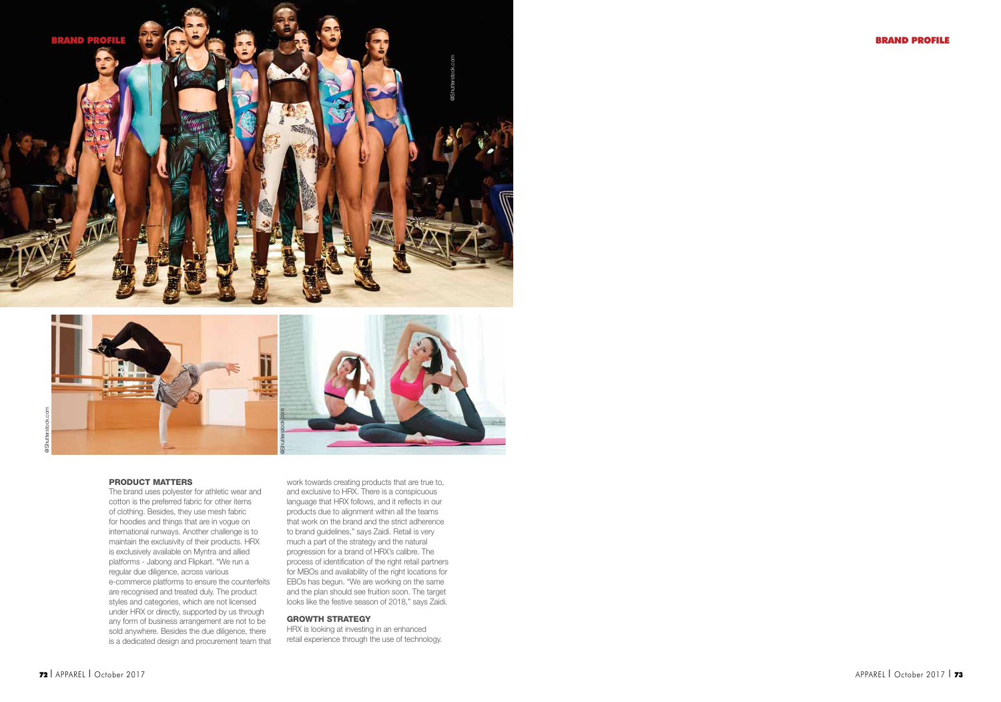



#### Product Matters

The brand uses polyester for athletic wear and cotton is the preferred fabric for other items of clothing. Besides, they use mesh fabric for hoodies and things that are in vogue on international runways. Another challenge is to maintain the exclusivity of their products. HRX is exclusively available on Myntra and allied platforms - Jabong and Flipkart. "We run a regular due diligence, across various e-commerce platforms to ensure the counterfeits are recognised and treated duly. The product styles and categories, which are not licensed under HRX or directly, supported by us through any form of business arrangement are not to be sold anywhere. Besides the due diligence, there is a dedicated design and procurement team that

work towards creating products that are true to, and exclusive to HRX. There is a conspicuous language that HRX follows, and it reflects in our products due to alignment within all the teams that work on the brand and the strict adherence to brand guidelines," says Zaidi. Retail is very much a part of the strategy and the natural progression for a brand of HRX's calibre. The process of identification of the right retail partners for MBOs and availability of the right locations for EBOs has begun. "We are working on the same and the plan should see fruition soon. The target looks like the festive season of 2018," says Zaidi.

### Growth Strategy

HRX is looking at investing in an enhanced retail experience through the use of technology.